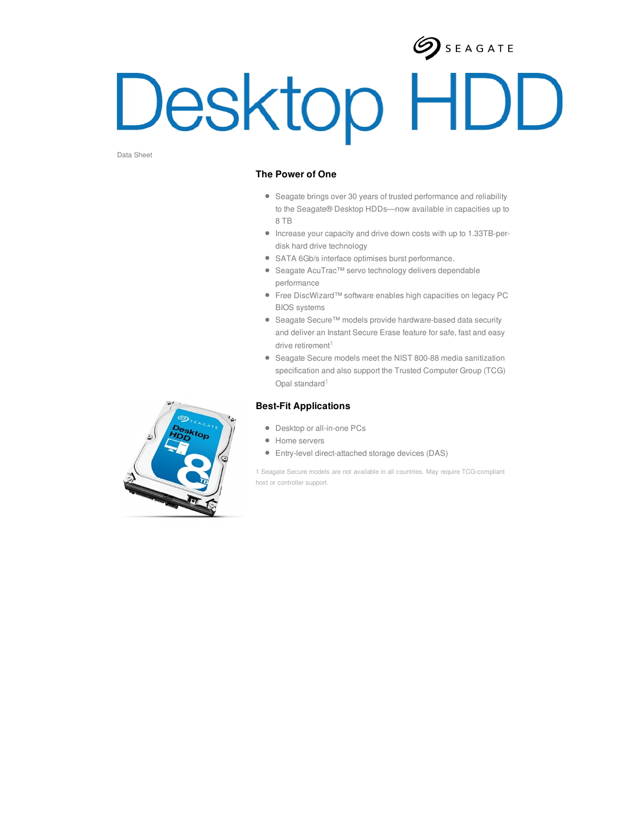# $\sum$  SEAGATE Desktop HDD

Data Sheet

#### **The Power of One**

- Seagate brings over 30 years of trusted performance and reliability to the Seagate® Desktop HDDs—now available in capacities up to 8 TB
- Increase your capacity and drive down costs with up to 1.33TB-perdisk hard drive technology
- SATA 6Gb/s interface optimises burst performance.
- Seagate AcuTrac™ servo technology delivers dependable performance
- Free DiscWizard™ software enables high capacities on legacy PC BIOS systems
- Seagate Secure™ models provide hardware-based data security and deliver an Instant Secure Erase feature for safe, fast and easy drive retirement $1$
- Seagate Secure models meet the NIST 800-88 media sanitization specification and also support the Trusted Computer Group (TCG) Opal standard<sup>1</sup>

### **Best-Fit Applications**

- Desktop or all-in-one PCs
- Home servers
- Entry-level direct-attached storage devices (DAS)

1 Seagate Secure models are not available in all countries. May require TCG-compliant host or controller support.

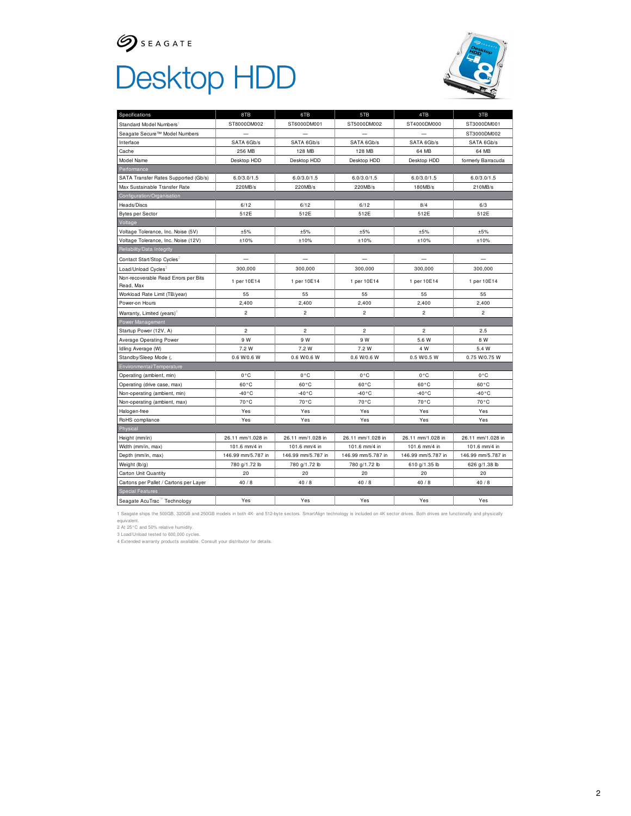## $\mathcal{G}$  SEAGATE Desktop HDD



| Specifications                                    | 8TB                | 6TB                | 5TB                | 4TB                | 3TB                |
|---------------------------------------------------|--------------------|--------------------|--------------------|--------------------|--------------------|
| Standard Model Numbers1                           | ST8000DM002        | ST6000DM001        | ST5000DM002        | ST4000DM000        | ST3000DM001        |
| Seagate Secure™ Model Numbers                     |                    |                    |                    |                    | ST3000DM002        |
| Interface                                         | SATA 6Gb/s         | SATA 6Gb/s         | SATA 6Gb/s         | SATA 6Gb/s         | SATA 6Gb/s         |
| Cache                                             | 256 MB             | 128 MB             | 128 MB             | 64 MB              | 64 MB              |
| Model Name                                        | Desktop HDD        | Desktop HDD        | Desktop HDD        | Desktop HDD        | formerly Barracuda |
| Performance                                       |                    |                    |                    |                    |                    |
| SATA Transfer Rates Supported (Gb/s)              | 6.0/3.0/1.5        | 6.0/3.0/1.5        | 6.0/3.0/1.5        | 6.0/3.0/1.5        | 6.0/3.0/1.5        |
| Max Sustainable Transfer Rate                     | 220MB/s            | 220MB/s            | 220MB/s            | 180MB/s            | 210MB/s            |
| Configuration/Organisation                        |                    |                    |                    |                    |                    |
| Heads/Discs                                       | 6/12               | 6/12               | 6/12               | 8/4                | 6/3                |
| <b>Bytes per Sector</b>                           | 512E               | 512E               | 512E               | 512E               | 512E               |
| Voltage                                           |                    |                    |                    |                    |                    |
| Voltage Tolerance, Inc. Noise (5V)                | ±5%                | ±5%                | ±5%                | ±5%                | ±5%                |
| Voltage Tolerance, Inc. Noise (12V)               | ±10%               | ±10%               | ±10%               | ±10%               | ±10%               |
| Reliability/Data Integrity                        |                    |                    |                    |                    |                    |
| Contact Start/Stop Cycles <sup>2</sup>            |                    |                    |                    |                    |                    |
| Load/Unload Cycles3                               | 300,000            | 300,000            | 300,000            | 300,000            | 300,000            |
| Non-recoverable Read Errors per Bits<br>Read, Max | 1 per 10E14        | 1 per 10E14        | 1 per 10E14        | 1 per 10E14        | 1 per 10E14        |
| Workload Rate Limit (TB/year)                     | 55                 | 55                 | 55                 | 55                 | 55                 |
| Power-on Hours                                    | 2,400              | 2,400              | 2,400              | 2,400              | 2,400              |
| Warranty, Limited (years) <sup>4</sup>            | $\overline{c}$     | $\overline{a}$     | $\overline{c}$     | $\overline{c}$     | $\overline{a}$     |
| Power Management                                  |                    |                    |                    |                    |                    |
| Startup Power (12V, A)                            | $\overline{c}$     | $\overline{2}$     | $\overline{c}$     | $\overline{c}$     | 2.5                |
| Average Operating Power                           | 9 W                | 9 W                | 9 W                | 5.6 W              | 8 W                |
| Idling Average (W)                                | 7.2 W              | 7.2 W              | 7.2 W              | 4 W                | 5.4 W              |
| Standby/Sleep Mode (,                             | 0.6 W/0.6 W        | 0.6 W/0.6 W        | 0.6 W/0.6 W        | 0.5 W/0.5 W        | 0.75 W/0.75 W      |
| Environmental/Temperature                         |                    |                    |                    |                    |                    |
| Operating (ambient, min)                          | 0°C                | $0^{\circ}C$       | $0^{\circ}$ C      | 0°C                | $0^{\circ}$ C      |
| Operating (drive case, max)                       | $60^{\circ}$ C     | $60^{\circ}$ C     | $60^{\circ}$ C     | $60^{\circ}$ C     | $60^{\circ}$ C     |
| Non-operating (ambient, min)                      | $-40 °C$           | $-40^{\circ}$ C    | $-40 °C$           | $-40^{\circ}$ C    | $-40^{\circ}$ C    |
| Non-operating (ambient, max)                      | 70°C               | 70°C               | 70°C               | 70°C               | 70°C               |
| Halogen-free                                      | Yes                | Yes                | Yes                | Yes                | Yes                |
| RoHS compliance                                   | Yes                | Yes                | Yes                | Yes                | Yes                |
| Physical                                          |                    |                    |                    |                    |                    |
| Height (mm/in)                                    | 26.11 mm/1.028 in  | 26.11 mm/1.028 in  | 26.11 mm/1.028 in  | 26.11 mm/1.028 in  | 26.11 mm/1.028 in  |
| Width (mm/in, max)                                | 101.6 mm/4 in      | 101.6 mm/4 in      | 101.6 mm/4 in      | 101.6 mm/4 in      | 101.6 mm/4 in      |
| Depth (mm/in, max)                                | 146.99 mm/5.787 in | 146.99 mm/5.787 in | 146.99 mm/5.787 in | 146.99 mm/5.787 in | 146.99 mm/5.787 in |
| Weight (lb/g)                                     | 780 g/1.72 lb      | 780 g/1.72 lb      | 780 g/1.72 lb      | 610 g/1.35 lb      | 626 g/1.38 lb      |
| Carton Unit Quantity                              | 20                 | 20                 | 20                 | 20                 | 20                 |
| Cartons per Pallet / Cartons per Layer            | 40/8               | 40/8               | 40/8               | 40/8               | 40/8               |
| <b>Special Features</b>                           |                    |                    |                    |                    |                    |
| Seagate AcuTrac <sup>"</sup> Technology           | Yes                | Yes                | Yes                | Yes                | Yes                |

1 Seagate ships the 500GB, 320GB and 250GB models in both 4K- and 512-byte sectors. SmartAlign technology is included on 4K sector drives. Both drives are functionally and physically

equivalent.<br>2 At 25°C and 50% relative humidity.<br>3 Load/Unload tested to 600,000 cycles.<br>4 Extended warranty products available. Consult your distributor for details.